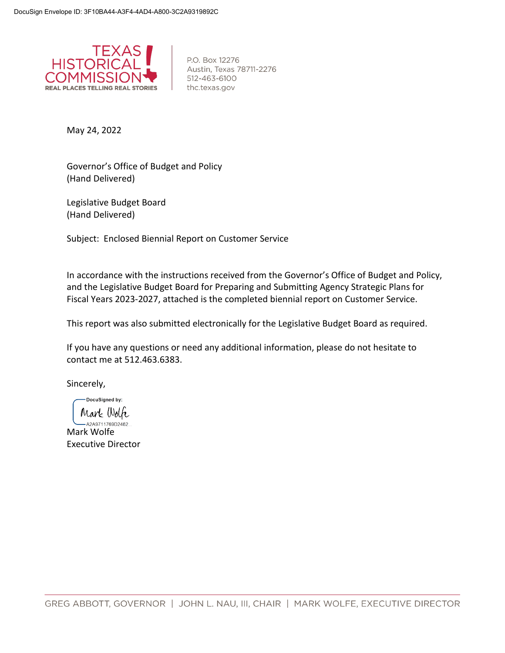

P.O. Box 12276 Austin, Texas 78711-2276 512-463-6100 thc.texas.gov

May 24, 2022

Governor's Office of Budget and Policy (Hand Delivered)

Legislative Budget Board (Hand Delivered)

Subject: Enclosed Biennial Report on Customer Service

In accordance with the instructions received from the Governor's Office of Budget and Policy, and the Legislative Budget Board for Preparing and Submitting Agency Strategic Plans for Fiscal Years 2023-2027, attached is the completed biennial report on Customer Service.

This report was also submitted electronically for the Legislative Budget Board as required.

If you have any questions or need any additional information, please do not hesitate to contact me at 512.463.6383.

Sincerely,

DocuSigned by: Mark Wolfe

A2A9711769D2462. Mark Wolfe Executive Director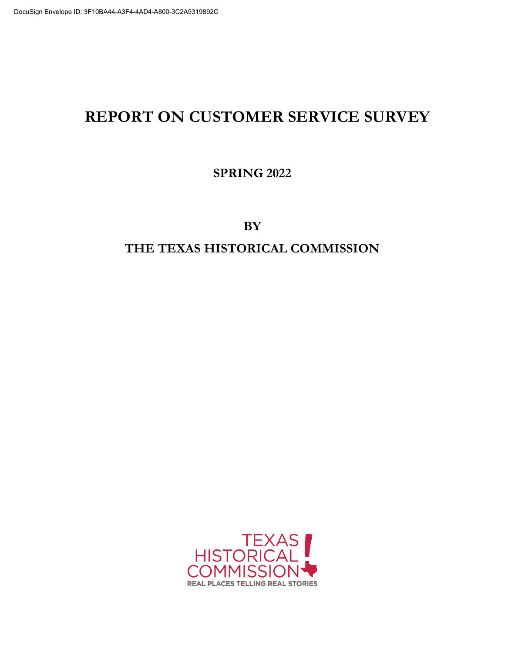# **REPORT ON CUSTOMER SERVICE SURVEY**

**SPRING 2022**

**BY THE TEXAS HISTORICAL COMMISSION**

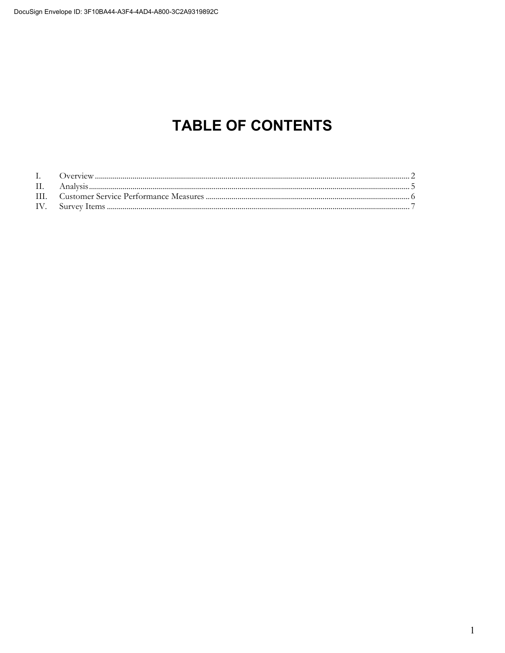# **TABLE OF CONTENTS**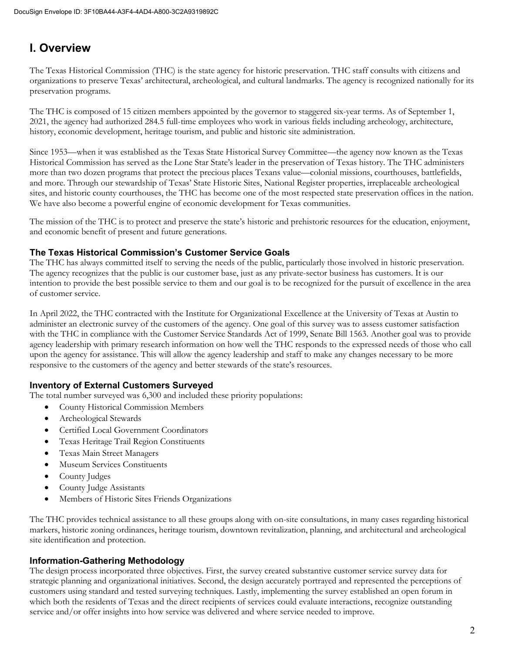# **I. Overview**

The Texas Historical Commission (THC) is the state agency for historic preservation. THC staff consults with citizens and organizations to preserve Texas' architectural, archeological, and cultural landmarks. The agency is recognized nationally for its preservation programs.

The THC is composed of 15 citizen members appointed by the governor to staggered six-year terms. As of September 1, 2021, the agency had authorized 284.5 full-time employees who work in various fields including archeology, architecture, history, economic development, heritage tourism, and public and historic site administration.

Since 1953—when it was established as the Texas State Historical Survey Committee—the agency now known as the Texas Historical Commission has served as the Lone Star State's leader in the preservation of Texas history. The THC administers more than two dozen programs that protect the precious places Texans value—colonial missions, courthouses, battlefields, and more. Through our stewardship of Texas' State Historic Sites, National Register properties, irreplaceable archeological sites, and historic county courthouses, the THC has become one of the most respected state preservation offices in the nation. We have also become a powerful engine of economic development for Texas communities.

The mission of the THC is to protect and preserve the state's historic and prehistoric resources for the education, enjoyment, and economic benefit of present and future generations.

# **The Texas Historical Commission's Customer Service Goals**

The THC has always committed itself to serving the needs of the public, particularly those involved in historic preservation. The agency recognizes that the public is our customer base, just as any private-sector business has customers. It is our intention to provide the best possible service to them and our goal is to be recognized for the pursuit of excellence in the area of customer service.

In April 2022, the THC contracted with the Institute for Organizational Excellence at the University of Texas at Austin to administer an electronic survey of the customers of the agency. One goal of this survey was to assess customer satisfaction with the THC in compliance with the Customer Service Standards Act of 1999, Senate Bill 1563. Another goal was to provide agency leadership with primary research information on how well the THC responds to the expressed needs of those who call upon the agency for assistance. This will allow the agency leadership and staff to make any changes necessary to be more responsive to the customers of the agency and better stewards of the state's resources.

# **Inventory of External Customers Surveyed**

The total number surveyed was 6,300 and included these priority populations:

- County Historical Commission Members
- Archeological Stewards
- Certified Local Government Coordinators
- Texas Heritage Trail Region Constituents
- Texas Main Street Managers
- Museum Services Constituents
- County Judges
- County Judge Assistants
- Members of Historic Sites Friends Organizations

The THC provides technical assistance to all these groups along with on-site consultations, in many cases regarding historical markers, historic zoning ordinances, heritage tourism, downtown revitalization, planning, and architectural and archeological site identification and protection.

## **Information-Gathering Methodology**

The design process incorporated three objectives. First, the survey created substantive customer service survey data for strategic planning and organizational initiatives. Second, the design accurately portrayed and represented the perceptions of customers using standard and tested surveying techniques. Lastly, implementing the survey established an open forum in which both the residents of Texas and the direct recipients of services could evaluate interactions, recognize outstanding service and/or offer insights into how service was delivered and where service needed to improve.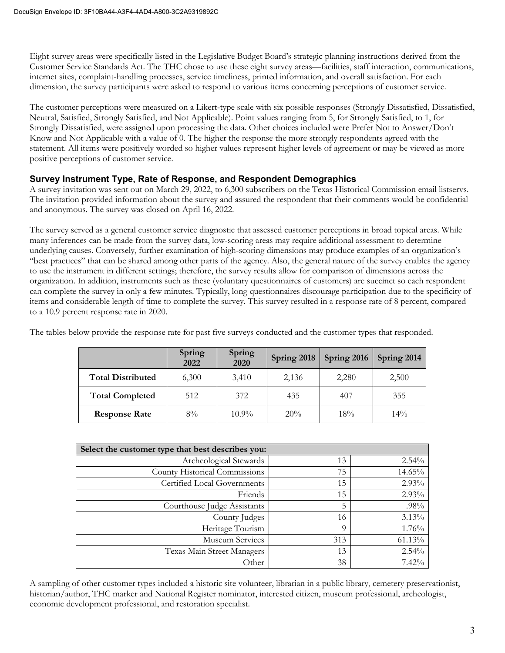Eight survey areas were specifically listed in the Legislative Budget Board's strategic planning instructions derived from the Customer Service Standards Act. The THC chose to use these eight survey areas—facilities, staff interaction, communications, internet sites, complaint-handling processes, service timeliness, printed information, and overall satisfaction. For each dimension, the survey participants were asked to respond to various items concerning perceptions of customer service.

The customer perceptions were measured on a Likert-type scale with six possible responses (Strongly Dissatisfied, Dissatisfied, Neutral, Satisfied, Strongly Satisfied, and Not Applicable). Point values ranging from 5, for Strongly Satisfied, to 1, for Strongly Dissatisfied, were assigned upon processing the data. Other choices included were Prefer Not to Answer/Don't Know and Not Applicable with a value of 0. The higher the response the more strongly respondents agreed with the statement. All items were positively worded so higher values represent higher levels of agreement or may be viewed as more positive perceptions of customer service.

# **Survey Instrument Type, Rate of Response, and Respondent Demographics**

A survey invitation was sent out on March 29, 2022, to 6,300 subscribers on the Texas Historical Commission email listservs. The invitation provided information about the survey and assured the respondent that their comments would be confidential and anonymous. The survey was closed on April 16, 2022.

The survey served as a general customer service diagnostic that assessed customer perceptions in broad topical areas. While many inferences can be made from the survey data, low-scoring areas may require additional assessment to determine underlying causes. Conversely, further examination of high-scoring dimensions may produce examples of an organization's "best practices" that can be shared among other parts of the agency. Also, the general nature of the survey enables the agency to use the instrument in different settings; therefore, the survey results allow for comparison of dimensions across the organization. In addition, instruments such as these (voluntary questionnaires of customers) are succinct so each respondent can complete the survey in only a few minutes. Typically, long questionnaires discourage participation due to the specificity of items and considerable length of time to complete the survey. This survey resulted in a response rate of 8 percent, compared to a 10.9 percent response rate in 2020.

|                          | Spring<br>2022 | Spring<br>2020 | Spring 2018 | Spring 2016 | Spring 2014 |
|--------------------------|----------------|----------------|-------------|-------------|-------------|
| <b>Total Distributed</b> | 6,300          | 3,410          | 2,136       | 2,280       | 2,500       |
| <b>Total Completed</b>   | 512            | 372            | 435         | 407         | 355         |
| <b>Response Rate</b>     | $8\%$          | $10.9\%$       | 20%         | 18%         | $14\%$      |

The tables below provide the response rate for past five surveys conducted and the customer types that responded.

| Select the customer type that best describes you: |          |          |  |  |
|---------------------------------------------------|----------|----------|--|--|
| Archeological Stewards                            | 13       | 2.54%    |  |  |
| County Historical Commissions                     | 75       | 14.65%   |  |  |
| Certified Local Governments                       | 15       | $2.93\%$ |  |  |
| Friends                                           | 15       | 2.93%    |  |  |
| Courthouse Judge Assistants                       | 5        | $.98\%$  |  |  |
| County Judges                                     | 16       | 3.13%    |  |  |
| Heritage Tourism                                  | $\Omega$ | 1.76%    |  |  |
| Museum Services                                   | 313      | 61.13%   |  |  |
| Texas Main Street Managers                        | 13       | 2.54%    |  |  |
| Other                                             | 38       | 7.42%    |  |  |

A sampling of other customer types included a historic site volunteer, librarian in a public library, cemetery preservationist, historian/author, THC marker and National Register nominator, interested citizen, museum professional, archeologist, economic development professional, and restoration specialist.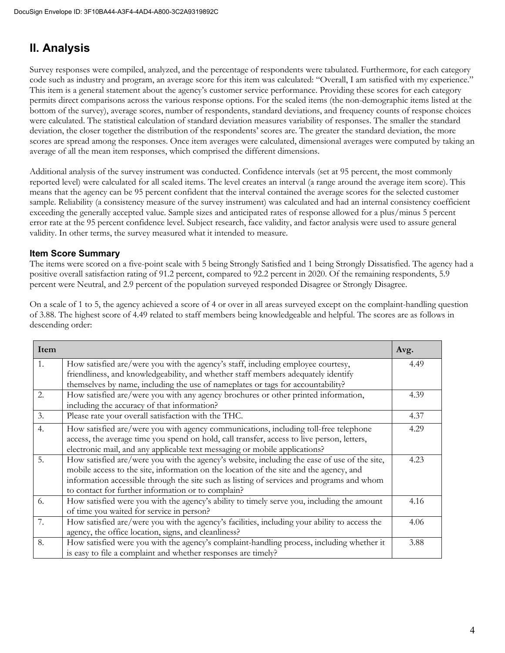# **II. Analysis**

Survey responses were compiled, analyzed, and the percentage of respondents were tabulated. Furthermore, for each category code such as industry and program, an average score for this item was calculated: "Overall, I am satisfied with my experience." This item is a general statement about the agency's customer service performance. Providing these scores for each category permits direct comparisons across the various response options. For the scaled items (the non-demographic items listed at the bottom of the survey), average scores, number of respondents, standard deviations, and frequency counts of response choices were calculated. The statistical calculation of standard deviation measures variability of responses. The smaller the standard deviation, the closer together the distribution of the respondents' scores are. The greater the standard deviation, the more scores are spread among the responses. Once item averages were calculated, dimensional averages were computed by taking an average of all the mean item responses, which comprised the different dimensions.

Additional analysis of the survey instrument was conducted. Confidence intervals (set at 95 percent, the most commonly reported level) were calculated for all scaled items. The level creates an interval (a range around the average item score). This means that the agency can be 95 percent confident that the interval contained the average scores for the selected customer sample. Reliability (a consistency measure of the survey instrument) was calculated and had an internal consistency coefficient exceeding the generally accepted value. Sample sizes and anticipated rates of response allowed for a plus/minus 5 percent error rate at the 95 percent confidence level. Subject research, face validity, and factor analysis were used to assure general validity. In other terms, the survey measured what it intended to measure.

# **Item Score Summary**

The items were scored on a five-point scale with 5 being Strongly Satisfied and 1 being Strongly Dissatisfied. The agency had a positive overall satisfaction rating of 91.2 percent, compared to 92.2 percent in 2020. Of the remaining respondents, 5.9 percent were Neutral, and 2.9 percent of the population surveyed responded Disagree or Strongly Disagree.

On a scale of 1 to 5, the agency achieved a score of 4 or over in all areas surveyed except on the complaint-handling question of 3.88. The highest score of 4.49 related to staff members being knowledgeable and helpful. The scores are as follows in descending order:

| Item             |                                                                                               | Avg. |
|------------------|-----------------------------------------------------------------------------------------------|------|
| $\mathbf{1}$ .   | How satisfied are/were you with the agency's staff, including employee courtesy,              | 4.49 |
|                  | friendliness, and knowledgeability, and whether staff members adequately identify             |      |
|                  | themselves by name, including the use of nameplates or tags for accountability?               |      |
| 2.               | How satisfied are/were you with any agency brochures or other printed information,            | 4.39 |
|                  | including the accuracy of that information?                                                   |      |
| 3.               | Please rate your overall satisfaction with the THC.                                           | 4.37 |
| $\overline{4}$ . | How satisfied are/were you with agency communications, including toll-free telephone          | 4.29 |
|                  | access, the average time you spend on hold, call transfer, access to live person, letters,    |      |
|                  | electronic mail, and any applicable text messaging or mobile applications?                    |      |
| 5.               | How satisfied are/were you with the agency's website, including the ease of use of the site,  | 4.23 |
|                  | mobile access to the site, information on the location of the site and the agency, and        |      |
|                  | information accessible through the site such as listing of services and programs and whom     |      |
|                  | to contact for further information or to complain?                                            |      |
| 6.               | How satisfied were you with the agency's ability to timely serve you, including the amount    | 4.16 |
|                  | of time you waited for service in person?                                                     |      |
| 7.               | How satisfied are/were you with the agency's facilities, including your ability to access the | 4.06 |
|                  | agency, the office location, signs, and cleanliness?                                          |      |
| 8.               | How satisfied were you with the agency's complaint-handling process, including whether it     | 3.88 |
|                  | is easy to file a complaint and whether responses are timely?                                 |      |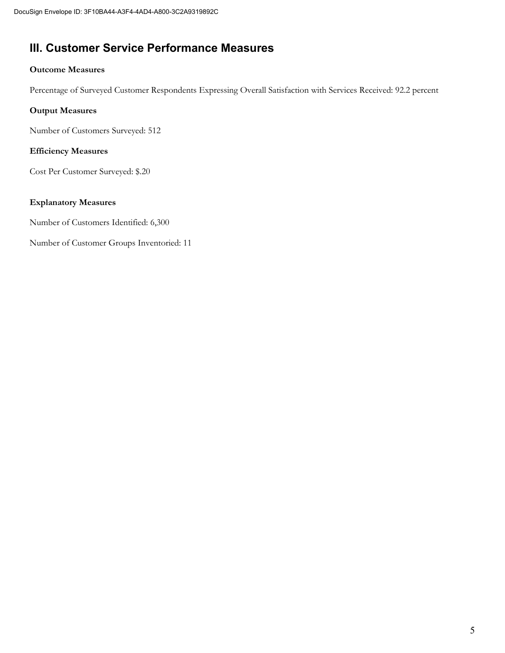# **III. Customer Service Performance Measures**

# **Outcome Measures**

Percentage of Surveyed Customer Respondents Expressing Overall Satisfaction with Services Received: 92.2 percent

# **Output Measures**

Number of Customers Surveyed: 512

# **Efficiency Measures**

Cost Per Customer Surveyed: \$.20

# **Explanatory Measures**

Number of Customers Identified: 6,300

Number of Customer Groups Inventoried: 11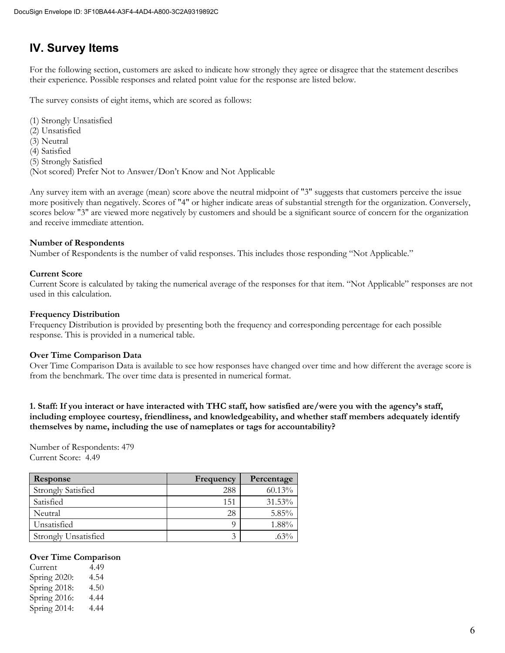# **IV. Survey Items**

For the following section, customers are asked to indicate how strongly they agree or disagree that the statement describes their experience. Possible responses and related point value for the response are listed below.

The survey consists of eight items, which are scored as follows:

(1) Strongly Unsatisfied (2) Unsatisfied (3) Neutral (4) Satisfied (5) Strongly Satisfied (Not scored) Prefer Not to Answer/Don't Know and Not Applicable

Any survey item with an average (mean) score above the neutral midpoint of "3" suggests that customers perceive the issue more positively than negatively. Scores of "4" or higher indicate areas of substantial strength for the organization. Conversely, scores below "3" are viewed more negatively by customers and should be a significant source of concern for the organization and receive immediate attention.

#### **Number of Respondents**

Number of Respondents is the number of valid responses. This includes those responding "Not Applicable."

#### **Current Score**

Current Score is calculated by taking the numerical average of the responses for that item. "Not Applicable" responses are not used in this calculation.

### **Frequency Distribution**

Frequency Distribution is provided by presenting both the frequency and corresponding percentage for each possible response. This is provided in a numerical table.

#### **Over Time Comparison Data**

Over Time Comparison Data is available to see how responses have changed over time and how different the average score is from the benchmark. The over time data is presented in numerical format.

**1. Staff: If you interact or have interacted with THC staff, how satisfied are/were you with the agency's staff, including employee courtesy, friendliness, and knowledgeability, and whether staff members adequately identify themselves by name, including the use of nameplates or tags for accountability?**

Number of Respondents: 479 Current Score: 4.49

| <b>Response</b>             | Frequency | Percentage |
|-----------------------------|-----------|------------|
| <b>Strongly Satisfied</b>   | 288       | $60.13\%$  |
| Satisfied                   | 151       | $31.53\%$  |
| Neutral                     | 28        | 5.85%      |
| Unsatisfied                 |           | 1.88%      |
| <b>Strongly Unsatisfied</b> |           | $63\%$     |

#### **Over Time Comparison**

| Current      | 4.49 |
|--------------|------|
| Spring 2020: | 4.54 |
| Spring 2018: | 4.50 |
| Spring 2016: | 4.44 |
| Spring 2014: | 4.44 |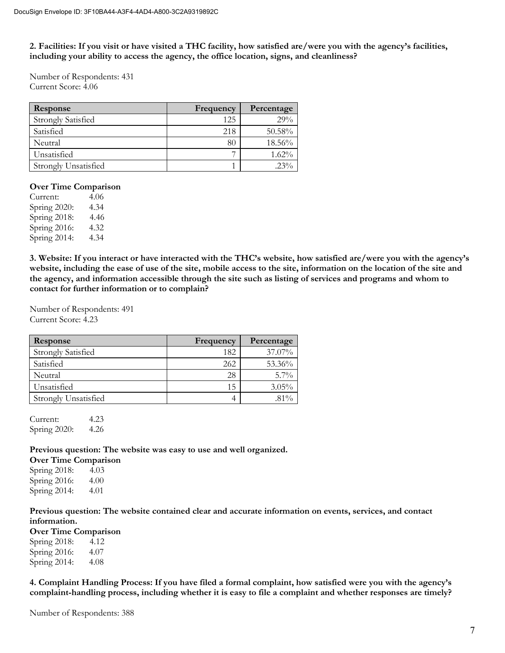**2. Facilities: If you visit or have visited a THC facility, how satisfied are/were you with the agency's facilities, including your ability to access the agency, the office location, signs, and cleanliness?**

Number of Respondents: 431 Current Score: 4.06

| Response                    | Frequency | Percentage |
|-----------------------------|-----------|------------|
| <b>Strongly Satisfied</b>   | 125       | 29%        |
| Satisfied                   | 218       | 50.58%     |
| Neutral                     | 80        | 18.56%     |
| Unsatisfied                 |           | $1.62\%$   |
| <b>Strongly Unsatisfied</b> |           | $23\%$     |

### **Over Time Comparison**

Current: 4.06 Spring 2020: 4.34 Spring 2018: 4.46 Spring 2016: 4.32 Spring 2014: 4.34

**3. Website: If you interact or have interacted with the THC's website, how satisfied are/were you with the agency's website, including the ease of use of the site, mobile access to the site, information on the location of the site and the agency, and information accessible through the site such as listing of services and programs and whom to contact for further information or to complain?** 

Number of Respondents: 491 Current Score: 4.23

| Response                    | Frequency | Percentage |
|-----------------------------|-----------|------------|
| <b>Strongly Satisfied</b>   | 182       | 37.07%     |
| Satisfied                   | 262       | 53.36%     |
| Neutral                     | 28        | $5.7\%$    |
| Unsatisfied                 | 15        | $3.05\%$   |
| <b>Strongly Unsatisfied</b> |           | $.81\%$    |

Current: 4.23 Spring 2020: 4.26

**Previous question: The website was easy to use and well organized.**

**Over Time Comparison**  Spring 2018: 4.03 Spring 2016: 4.00 Spring 2014: 4.01

**Previous question: The website contained clear and accurate information on events, services, and contact information.**

**Over Time Comparison**

Spring 2018: 4.12 Spring 2016: 4.07 Spring 2014: 4.08

**4. Complaint Handling Process: If you have filed a formal complaint, how satisfied were you with the agency's complaint-handling process, including whether it is easy to file a complaint and whether responses are timely?**

Number of Respondents: 388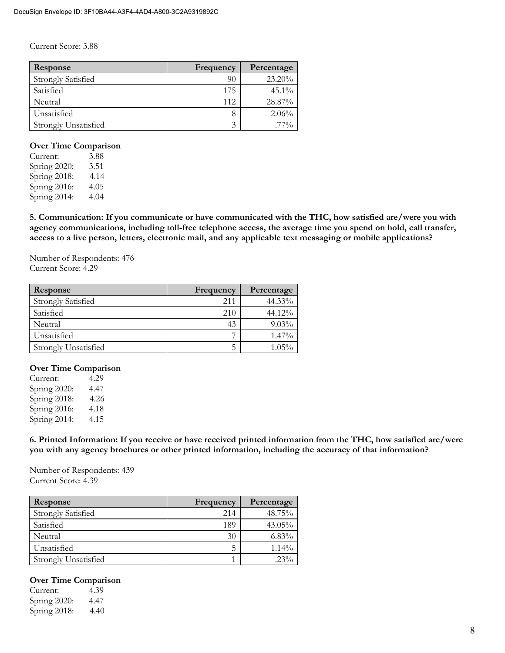Current Score: 3.88

| Response                    | Frequency | Percentage |
|-----------------------------|-----------|------------|
| <b>Strongly Satisfied</b>   | 90        | 23.20%     |
| Satisfied                   | 175       | $45.1\%$   |
| Neutral                     | 112       | 28.87%     |
| Unsatisfied                 |           | 2.06%      |
| <b>Strongly Unsatisfied</b> | ◠         | $77\%$     |

### **Over Time Comparison**

Current: 3.88 Spring 2020: 3.51 Spring 2018: 4.14<br>Spring 2016: 4.05 Spring 2016: Spring 2014: 4.04

**5. Communication: If you communicate or have communicated with the THC, how satisfied are/were you with agency communications, including toll-free telephone access, the average time you spend on hold, call transfer, access to a live person, letters, electronic mail, and any applicable text messaging or mobile applications?**

Number of Respondents: 476 Current Score: 4.29

| <b>Response</b>           | Frequency | Percentage |
|---------------------------|-----------|------------|
| <b>Strongly Satisfied</b> | 211       | 44.33%     |
| Satisfied                 | 210       | 44.12%     |
| Neutral                   | 43        | $9.03\%$   |
| Unsatisfied               |           | $1.47\%$   |
| Strongly Unsatisfied      |           | $1.05\%$   |

## **Over Time Comparison**

| Current:     | 4.29 |
|--------------|------|
| Spring 2020: | 4.47 |
| Spring 2018: | 4.26 |
| Spring 2016: | 4.18 |
| Spring 2014: | 4.15 |

**6. Printed Information: If you receive or have received printed information from the THC, how satisfied are/were you with any agency brochures or other printed information, including the accuracy of that information?**

Number of Respondents: 439 Current Score: 4.39

| Response                  | Frequency | Percentage |
|---------------------------|-----------|------------|
| <b>Strongly Satisfied</b> | 214       | 48.75%     |
| Satisfied                 | 189       | $43.05\%$  |
| Neutral                   | 30        | $6.83\%$   |
| Unsatisfied               |           | $1.14\%$   |
| Strongly Unsatisfied      |           | $23\%$     |

## **Over Time Comparison**

| Current:     | 4.39 |
|--------------|------|
| Spring 2020: | 4.47 |
| Spring 2018: | 4.40 |